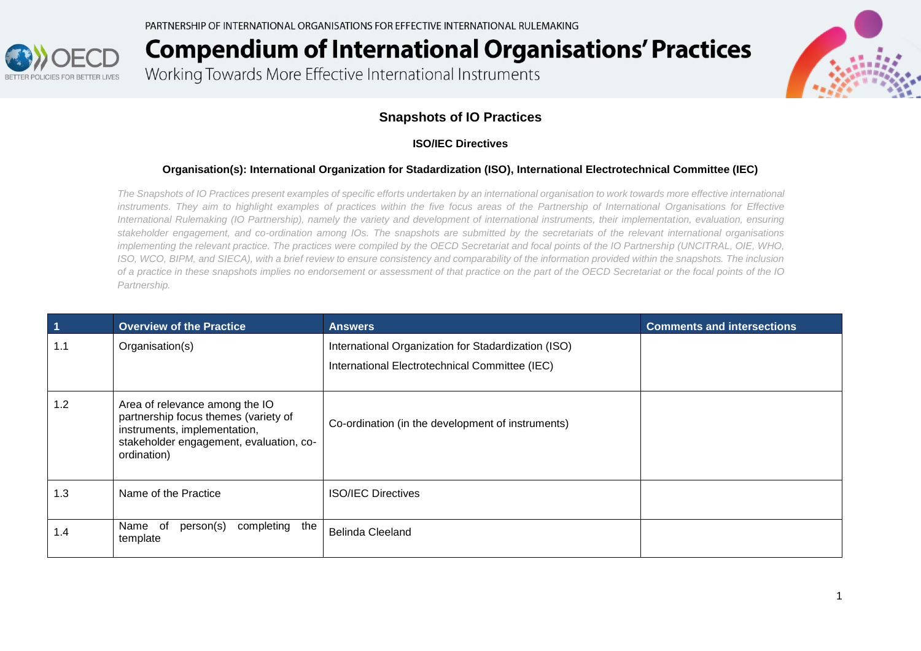

Working Towards More Effective International Instruments



### **Snapshots of IO Practices**

#### **ISO/IEC Directives**

#### **Organisation(s): International Organization for Stadardization (ISO), International Electrotechnical Committee (IEC)**

*The Snapshots of IO Practices present examples of specific efforts undertaken by an international organisation to work towards more effective international instruments. They aim to highlight examples of practices within the five focus areas of the Partnership of International Organisations for Effective International Rulemaking (IO Partnership), namely the variety and development of international instruments, their implementation, evaluation, ensuring stakeholder engagement, and co-ordination among IOs. The snapshots are submitted by the secretariats of the relevant international organisations implementing the relevant practice. The practices were compiled by the OECD Secretariat and focal points of the IO Partnership (UNCITRAL, OIE, WHO, ISO, WCO, BIPM, and SIECA), with a brief review to ensure consistency and comparability of the information provided within the snapshots. The inclusion of a practice in these snapshots implies no endorsement or assessment of that practice on the part of the OECD Secretariat or the focal points of the IO Partnership.*

| $\overline{1}$ | <b>Overview of the Practice</b>                                                                                                                                  | <b>Answers</b>                                                                                        | <b>Comments and intersections</b> |
|----------------|------------------------------------------------------------------------------------------------------------------------------------------------------------------|-------------------------------------------------------------------------------------------------------|-----------------------------------|
| 1.1            | Organisation(s)                                                                                                                                                  | International Organization for Stadardization (ISO)<br>International Electrotechnical Committee (IEC) |                                   |
| 1.2            | Area of relevance among the IO<br>partnership focus themes (variety of<br>instruments, implementation,<br>stakeholder engagement, evaluation, co-<br>ordination) | Co-ordination (in the development of instruments)                                                     |                                   |
| 1.3            | Name of the Practice                                                                                                                                             | <b>ISO/IEC Directives</b>                                                                             |                                   |
| 1.4            | of<br>Name<br>person(s)<br>completing<br>the<br>template                                                                                                         | <b>Belinda Cleeland</b>                                                                               |                                   |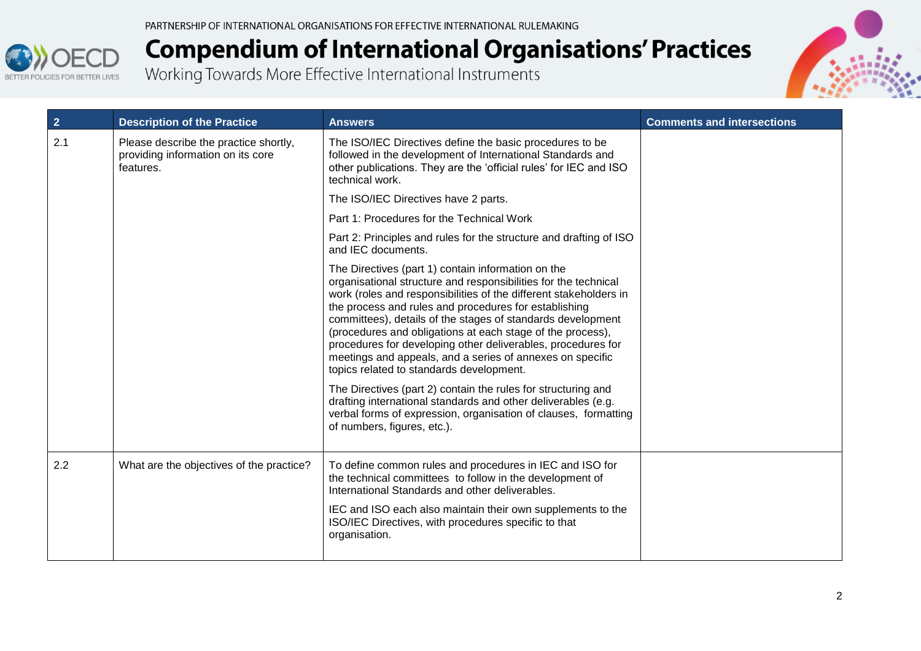

| $\overline{2}$ | <b>Description of the Practice</b>                                                      | <b>Answers</b>                                                                                                                                                                                                                                                                                                                                                                                                                                                                                                                                            | <b>Comments and intersections</b> |
|----------------|-----------------------------------------------------------------------------------------|-----------------------------------------------------------------------------------------------------------------------------------------------------------------------------------------------------------------------------------------------------------------------------------------------------------------------------------------------------------------------------------------------------------------------------------------------------------------------------------------------------------------------------------------------------------|-----------------------------------|
| 2.1            | Please describe the practice shortly,<br>providing information on its core<br>features. | The ISO/IEC Directives define the basic procedures to be<br>followed in the development of International Standards and<br>other publications. They are the 'official rules' for IEC and ISO<br>technical work.                                                                                                                                                                                                                                                                                                                                            |                                   |
|                |                                                                                         | The ISO/IEC Directives have 2 parts.                                                                                                                                                                                                                                                                                                                                                                                                                                                                                                                      |                                   |
|                |                                                                                         | Part 1: Procedures for the Technical Work                                                                                                                                                                                                                                                                                                                                                                                                                                                                                                                 |                                   |
|                |                                                                                         | Part 2: Principles and rules for the structure and drafting of ISO<br>and IEC documents.                                                                                                                                                                                                                                                                                                                                                                                                                                                                  |                                   |
|                |                                                                                         | The Directives (part 1) contain information on the<br>organisational structure and responsibilities for the technical<br>work (roles and responsibilities of the different stakeholders in<br>the process and rules and procedures for establishing<br>committees), details of the stages of standards development<br>(procedures and obligations at each stage of the process),<br>procedures for developing other deliverables, procedures for<br>meetings and appeals, and a series of annexes on specific<br>topics related to standards development. |                                   |
|                |                                                                                         | The Directives (part 2) contain the rules for structuring and<br>drafting international standards and other deliverables (e.g.<br>verbal forms of expression, organisation of clauses, formatting<br>of numbers, figures, etc.).                                                                                                                                                                                                                                                                                                                          |                                   |
| 2.2            | What are the objectives of the practice?                                                | To define common rules and procedures in IEC and ISO for<br>the technical committees to follow in the development of<br>International Standards and other deliverables.                                                                                                                                                                                                                                                                                                                                                                                   |                                   |
|                |                                                                                         | IEC and ISO each also maintain their own supplements to the<br>ISO/IEC Directives, with procedures specific to that<br>organisation.                                                                                                                                                                                                                                                                                                                                                                                                                      |                                   |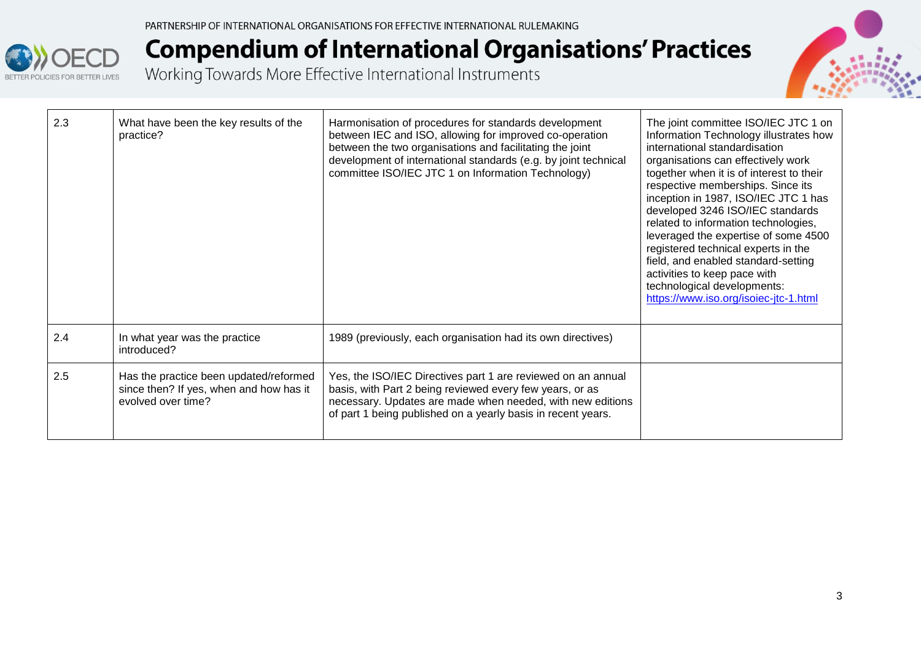



| 2.3 | What have been the key results of the<br>practice?                                                      | Harmonisation of procedures for standards development<br>between IEC and ISO, allowing for improved co-operation<br>between the two organisations and facilitating the joint<br>development of international standards (e.g. by joint technical<br>committee ISO/IEC JTC 1 on Information Technology) | The joint committee ISO/IEC JTC 1 on<br>Information Technology illustrates how<br>international standardisation<br>organisations can effectively work<br>together when it is of interest to their<br>respective memberships. Since its<br>inception in 1987, ISO/IEC JTC 1 has<br>developed 3246 ISO/IEC standards<br>related to information technologies,<br>leveraged the expertise of some 4500<br>registered technical experts in the<br>field, and enabled standard-setting<br>activities to keep pace with<br>technological developments:<br>https://www.iso.org/isoiec-jtc-1.html |
|-----|---------------------------------------------------------------------------------------------------------|-------------------------------------------------------------------------------------------------------------------------------------------------------------------------------------------------------------------------------------------------------------------------------------------------------|------------------------------------------------------------------------------------------------------------------------------------------------------------------------------------------------------------------------------------------------------------------------------------------------------------------------------------------------------------------------------------------------------------------------------------------------------------------------------------------------------------------------------------------------------------------------------------------|
| 2.4 | In what year was the practice<br>introduced?                                                            | 1989 (previously, each organisation had its own directives)                                                                                                                                                                                                                                           |                                                                                                                                                                                                                                                                                                                                                                                                                                                                                                                                                                                          |
| 2.5 | Has the practice been updated/reformed<br>since then? If yes, when and how has it<br>evolved over time? | Yes, the ISO/IEC Directives part 1 are reviewed on an annual<br>basis, with Part 2 being reviewed every few years, or as<br>necessary. Updates are made when needed, with new editions<br>of part 1 being published on a yearly basis in recent years.                                                |                                                                                                                                                                                                                                                                                                                                                                                                                                                                                                                                                                                          |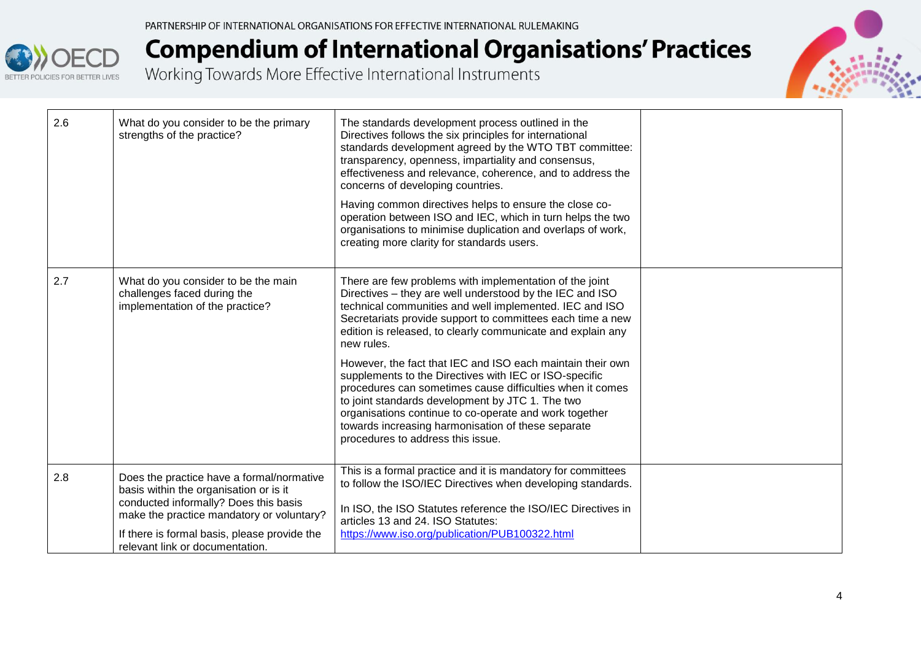



| 2.6 | What do you consider to be the primary<br>strengths of the practice?                                                                                                                                                                                         | The standards development process outlined in the<br>Directives follows the six principles for international<br>standards development agreed by the WTO TBT committee:<br>transparency, openness, impartiality and consensus,<br>effectiveness and relevance, coherence, and to address the<br>concerns of developing countries.<br>Having common directives helps to ensure the close co-<br>operation between ISO and IEC, which in turn helps the two<br>organisations to minimise duplication and overlaps of work,<br>creating more clarity for standards users.                                                                                                                                                   |  |
|-----|--------------------------------------------------------------------------------------------------------------------------------------------------------------------------------------------------------------------------------------------------------------|-------------------------------------------------------------------------------------------------------------------------------------------------------------------------------------------------------------------------------------------------------------------------------------------------------------------------------------------------------------------------------------------------------------------------------------------------------------------------------------------------------------------------------------------------------------------------------------------------------------------------------------------------------------------------------------------------------------------------|--|
| 2.7 | What do you consider to be the main<br>challenges faced during the<br>implementation of the practice?                                                                                                                                                        | There are few problems with implementation of the joint<br>Directives – they are well understood by the IEC and ISO<br>technical communities and well implemented. IEC and ISO<br>Secretariats provide support to committees each time a new<br>edition is released, to clearly communicate and explain any<br>new rules.<br>However, the fact that IEC and ISO each maintain their own<br>supplements to the Directives with IEC or ISO-specific<br>procedures can sometimes cause difficulties when it comes<br>to joint standards development by JTC 1. The two<br>organisations continue to co-operate and work together<br>towards increasing harmonisation of these separate<br>procedures to address this issue. |  |
| 2.8 | Does the practice have a formal/normative<br>basis within the organisation or is it<br>conducted informally? Does this basis<br>make the practice mandatory or voluntary?<br>If there is formal basis, please provide the<br>relevant link or documentation. | This is a formal practice and it is mandatory for committees<br>to follow the ISO/IEC Directives when developing standards.<br>In ISO, the ISO Statutes reference the ISO/IEC Directives in<br>articles 13 and 24. ISO Statutes:<br>https://www.iso.org/publication/PUB100322.html                                                                                                                                                                                                                                                                                                                                                                                                                                      |  |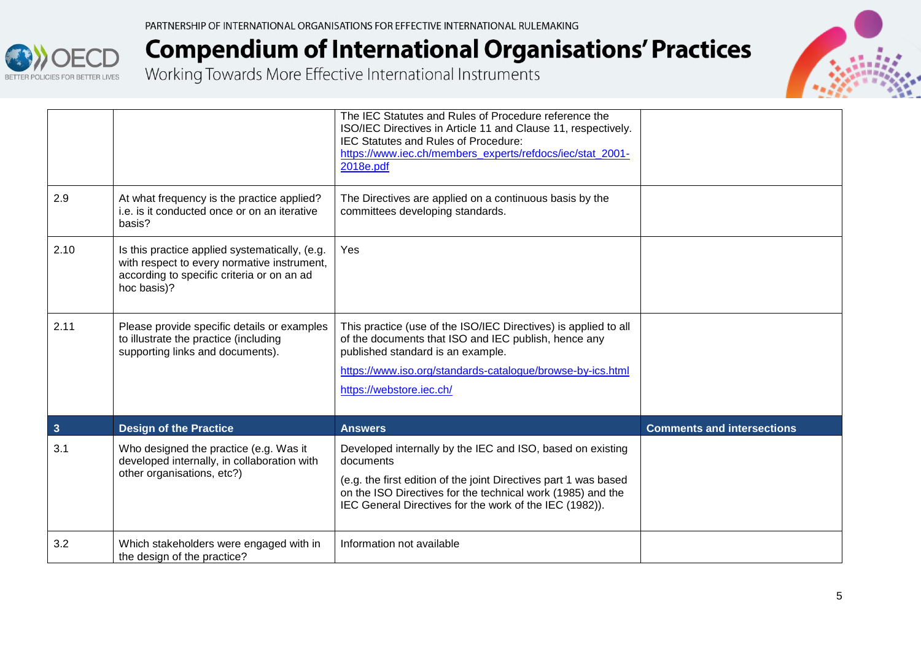|              |                                                                                                                                                            | The IEC Statutes and Rules of Procedure reference the<br>ISO/IEC Directives in Article 11 and Clause 11, respectively.<br>IEC Statutes and Rules of Procedure:<br>https://www.iec.ch/members experts/refdocs/iec/stat 2001-<br>2018e.pdf                              |                                   |
|--------------|------------------------------------------------------------------------------------------------------------------------------------------------------------|-----------------------------------------------------------------------------------------------------------------------------------------------------------------------------------------------------------------------------------------------------------------------|-----------------------------------|
| 2.9          | At what frequency is the practice applied?<br>i.e. is it conducted once or on an iterative<br>basis?                                                       | The Directives are applied on a continuous basis by the<br>committees developing standards.                                                                                                                                                                           |                                   |
| 2.10         | Is this practice applied systematically, (e.g.<br>with respect to every normative instrument,<br>according to specific criteria or on an ad<br>hoc basis)? | Yes                                                                                                                                                                                                                                                                   |                                   |
| 2.11         | Please provide specific details or examples<br>to illustrate the practice (including<br>supporting links and documents).                                   | This practice (use of the ISO/IEC Directives) is applied to all<br>of the documents that ISO and IEC publish, hence any<br>published standard is an example.<br>https://www.iso.org/standards-catalogue/browse-by-ics.html<br>https://webstore.iec.ch/                |                                   |
| $\mathbf{3}$ | <b>Design of the Practice</b>                                                                                                                              | <b>Answers</b>                                                                                                                                                                                                                                                        | <b>Comments and intersections</b> |
| 3.1          | Who designed the practice (e.g. Was it<br>developed internally, in collaboration with<br>other organisations, etc?)                                        | Developed internally by the IEC and ISO, based on existing<br>documents<br>(e.g. the first edition of the joint Directives part 1 was based<br>on the ISO Directives for the technical work (1985) and the<br>IEC General Directives for the work of the IEC (1982)). |                                   |
| 3.2          | Which stakeholders were engaged with in<br>the design of the practice?                                                                                     | Information not available                                                                                                                                                                                                                                             |                                   |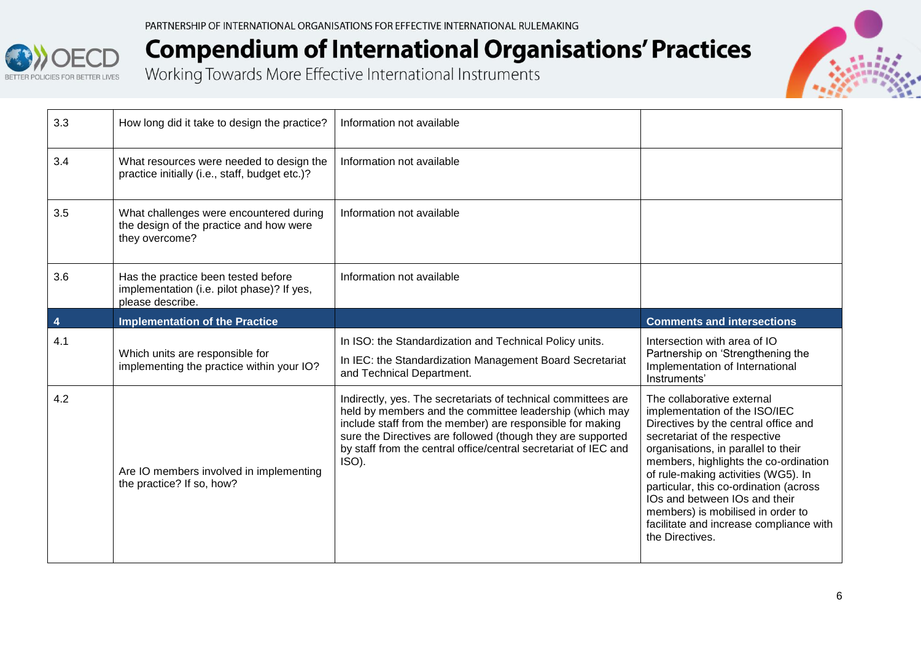PARTNERSHIP OF INTERNATIONAL ORGANISATIONS FOR EFFECTIVE INTERNATIONAL RULEMAKING



| How long did it take to design the practice?                                                          | Information not available                                                                                                                                                                                                                                                                                                        |                                                                                                                                                                                                                                                                                                                                                                                                                                           |
|-------------------------------------------------------------------------------------------------------|----------------------------------------------------------------------------------------------------------------------------------------------------------------------------------------------------------------------------------------------------------------------------------------------------------------------------------|-------------------------------------------------------------------------------------------------------------------------------------------------------------------------------------------------------------------------------------------------------------------------------------------------------------------------------------------------------------------------------------------------------------------------------------------|
| What resources were needed to design the<br>practice initially (i.e., staff, budget etc.)?            | Information not available                                                                                                                                                                                                                                                                                                        |                                                                                                                                                                                                                                                                                                                                                                                                                                           |
| What challenges were encountered during<br>the design of the practice and how were<br>they overcome?  | Information not available                                                                                                                                                                                                                                                                                                        |                                                                                                                                                                                                                                                                                                                                                                                                                                           |
| Has the practice been tested before<br>implementation (i.e. pilot phase)? If yes,<br>please describe. | Information not available                                                                                                                                                                                                                                                                                                        |                                                                                                                                                                                                                                                                                                                                                                                                                                           |
| <b>Implementation of the Practice</b>                                                                 |                                                                                                                                                                                                                                                                                                                                  | <b>Comments and intersections</b>                                                                                                                                                                                                                                                                                                                                                                                                         |
| Which units are responsible for<br>implementing the practice within your IO?                          | In ISO: the Standardization and Technical Policy units.<br>In IEC: the Standardization Management Board Secretariat<br>and Technical Department.                                                                                                                                                                                 | Intersection with area of IO<br>Partnership on 'Strengthening the<br>Implementation of International<br>Instruments'                                                                                                                                                                                                                                                                                                                      |
| Are IO members involved in implementing<br>the practice? If so, how?                                  | Indirectly, yes. The secretariats of technical committees are<br>held by members and the committee leadership (which may<br>include staff from the member) are responsible for making<br>sure the Directives are followed (though they are supported<br>by staff from the central office/central secretariat of IEC and<br>ISO). | The collaborative external<br>implementation of the ISO/IEC<br>Directives by the central office and<br>secretariat of the respective<br>organisations, in parallel to their<br>members, highlights the co-ordination<br>of rule-making activities (WG5). In<br>particular, this co-ordination (across<br>IOs and between IOs and their<br>members) is mobilised in order to<br>facilitate and increase compliance with<br>the Directives. |
|                                                                                                       |                                                                                                                                                                                                                                                                                                                                  |                                                                                                                                                                                                                                                                                                                                                                                                                                           |

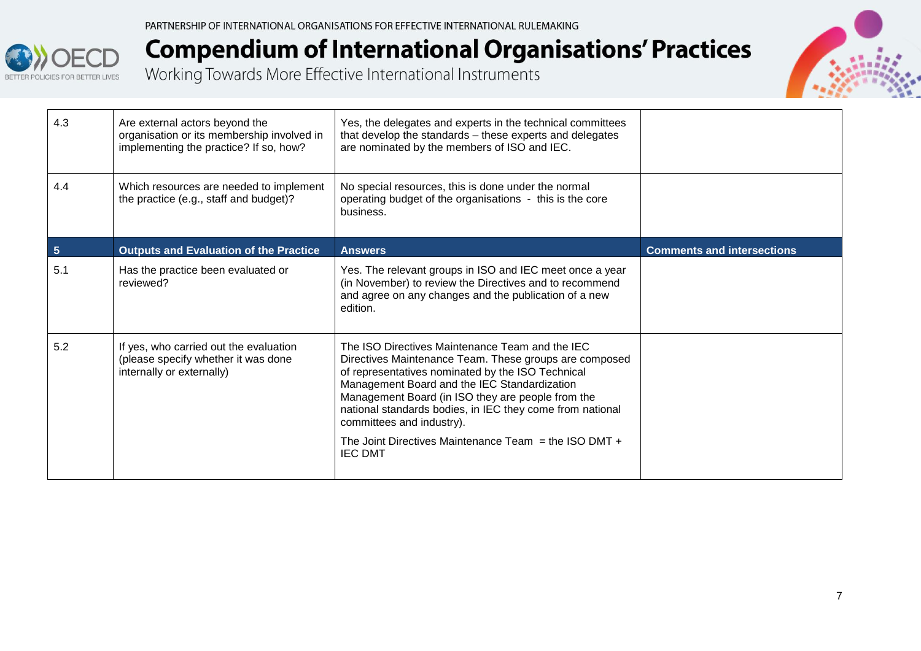



| 4.3            | Are external actors beyond the<br>organisation or its membership involved in<br>implementing the practice? If so, how? | Yes, the delegates and experts in the technical committees<br>that develop the standards - these experts and delegates<br>are nominated by the members of ISO and IEC.                                                                                                                                                                                                                                                                       |                                   |
|----------------|------------------------------------------------------------------------------------------------------------------------|----------------------------------------------------------------------------------------------------------------------------------------------------------------------------------------------------------------------------------------------------------------------------------------------------------------------------------------------------------------------------------------------------------------------------------------------|-----------------------------------|
| 4.4            | Which resources are needed to implement<br>the practice (e.g., staff and budget)?                                      | No special resources, this is done under the normal<br>operating budget of the organisations - this is the core<br>business.                                                                                                                                                                                                                                                                                                                 |                                   |
| $5\phantom{1}$ | <b>Outputs and Evaluation of the Practice</b>                                                                          | <b>Answers</b>                                                                                                                                                                                                                                                                                                                                                                                                                               | <b>Comments and intersections</b> |
| 5.1            | Has the practice been evaluated or<br>reviewed?                                                                        | Yes. The relevant groups in ISO and IEC meet once a year<br>(in November) to review the Directives and to recommend<br>and agree on any changes and the publication of a new<br>edition.                                                                                                                                                                                                                                                     |                                   |
| 5.2            | If yes, who carried out the evaluation<br>(please specify whether it was done<br>internally or externally)             | The ISO Directives Maintenance Team and the IEC<br>Directives Maintenance Team. These groups are composed<br>of representatives nominated by the ISO Technical<br>Management Board and the IEC Standardization<br>Management Board (in ISO they are people from the<br>national standards bodies, in IEC they come from national<br>committees and industry).<br>The Joint Directives Maintenance Team $=$ the ISO DMT $+$<br><b>IEC DMT</b> |                                   |
|                |                                                                                                                        |                                                                                                                                                                                                                                                                                                                                                                                                                                              |                                   |